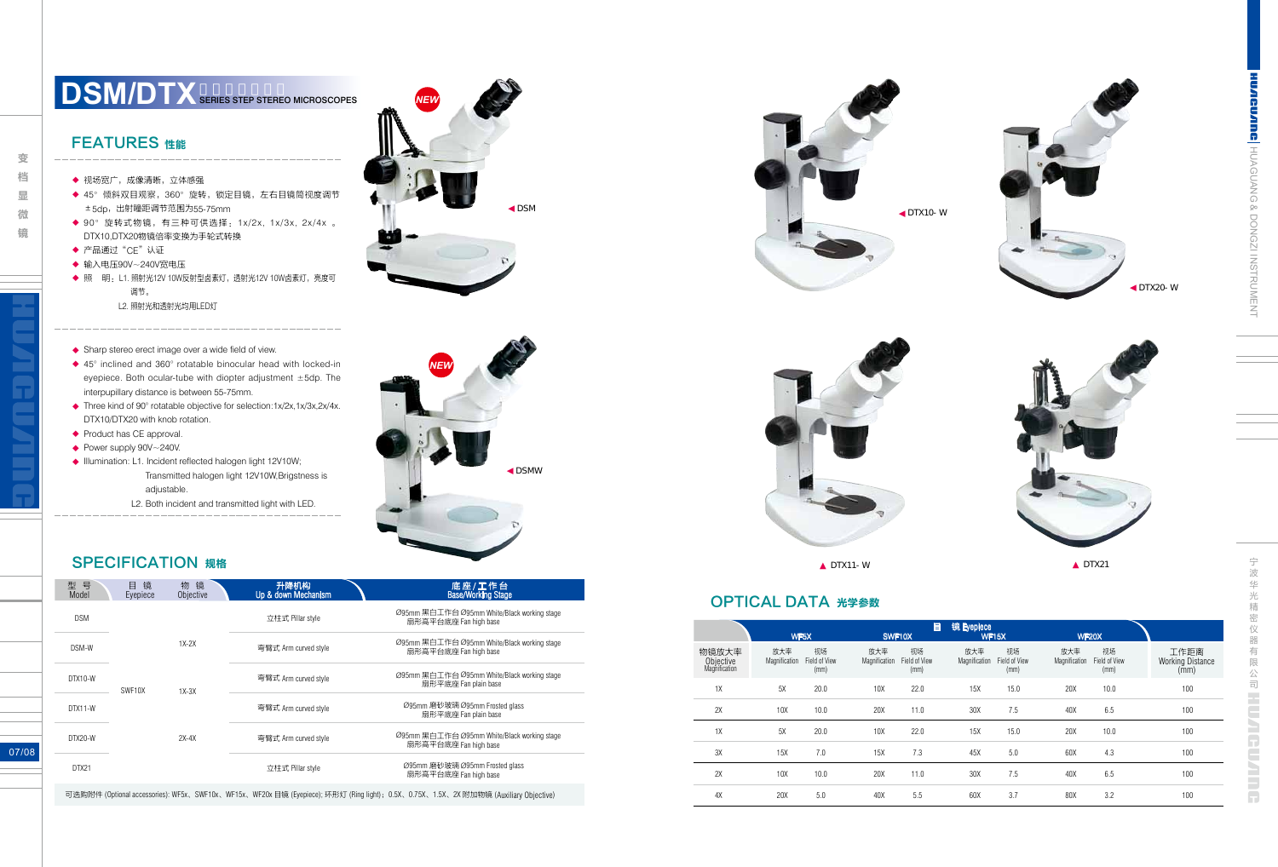**CUANG H**UAGUANG & DONGZI INSTRUMENT

宁

07/08

- 输入电压90V~240V宽电压 ◆
- ◆ 照 明 : L1. 照射光12V 10W反射型卤素灯,透射光12V 10W卤素灯,亮度可 调节。
	- L2. 照射光和透射光均用LED灯
- ◆ Sharp stereo erect image over a wide field of view.
- ◆ 45° inclined and 360° rotatable binocular head with locked-in eyepiece. Both ocular-tube with diopter adjustment ±5dp. The interpupillary distance is between 55-75mm.
- ◆ Three kind of 90° rotatable objective for selection:1x/2x,1x/3x,2x/4x. DTX10/DTX20 with knob rotation.
- ◆ Product has CE approval.
- ◆ Power supply 90V~240V.
- ◆ Illumination: L1. Incident reflected halogen light 12V10W; Transmitted halogen light 12V10W,Brigstness is adjustable.
	- L2. Both incident and transmitted light with LED.

| 型<br>号<br>Model | 镜<br>目<br>Eyepiece | 物<br>镜<br>Objective | 升降机构<br>Up & down Mechanism | 底座/工作台<br>Base/Working Stage                                         |
|-----------------|--------------------|---------------------|-----------------------------|----------------------------------------------------------------------|
| <b>DSM</b>      |                    |                     | 立柱式 Pillar style            | Ø95mm 黑白工作台 Ø95mm White/Black working stage<br>扇形高平台底座 Fan high base |
| DSM-W           |                    | $1X-2X$             | 弯臂式 Arm curved style        | Ø95mm 黑白工作台 Ø95mm White/Black working stage<br>扇形高平台底座 Fan high base |
| DTX10-W         | SWF10X             | $1X-3X$             | 弯臂式 Arm curved style        | Ø95mm 黑白工作台 Ø95mm White/Black working stage<br>扇形平底座 Fan plain base  |
| DTX11-W         |                    |                     | 弯臂式 Arm curved style        | Ø95mm 磨砂玻璃Ø95mm Frosted glass<br>扇形平底座 Fan plain base                |
| DTX20-W         |                    | $2X-4X$             | 弯臂式 Arm curved style        | Ø95mm 黑白工作台 Ø95mm White/Black working stage<br>扇形高平台底座 Fan high base |
| DTX21           |                    |                     | 立柱式 Pillar style            | Ø95mm 磨砂玻璃 Ø95mm Frosted glass<br>扇形高平台底座 Fan high base              |
|                 |                    |                     |                             |                                                                      |

# **DSM/DTX** SERIES STEP STEREO MICROSCOPES

#### FEATURES 性能

- ◆ 视场宽广,成像清晰,立体感强
- ◆ 45°倾斜双目观察,360°旋转,锁定目镜,左右目镜筒视度调节 ±5dp,出射瞳距调节范围为55-75mm
- ◆ 90°旋转式物镜,有三种可供选择:1x/2x, 1x/3x, 2x/4x 。 DTX10,DTX20物镜倍率变换为手轮式转换
- ◆ 产品通过"CE"认证

**Second Control** 

变 档 显 微 镜

DTX10-W



DTX20-W



可选购附件 (Optional accessories): WF5x、SWF10x、WF15x、WF20x 目镜 (Eyepiece); 环形灯 (Ring light);0.5X、0.75X、1.5X、2X 附加物镜 (Auxiliary Objective)





#### OPTICAL DATA 光学参数

|                                     |                      | WF5X                        |                      | 目<br>SWF10X                 | 镜 Eyepiece           | <b>WF15X</b>                | <b>WF20X</b>         |                             |                                         |
|-------------------------------------|----------------------|-----------------------------|----------------------|-----------------------------|----------------------|-----------------------------|----------------------|-----------------------------|-----------------------------------------|
| 物镜放大率<br>Objective<br>Magnification | 放大率<br>Magnification | 视场<br>Field of View<br>(mm) | 放大率<br>Magnification | 视场<br>Field of View<br>(mm) | 放大率<br>Magnification | 视场<br>Field of View<br>(mm) | 放大率<br>Magnification | 视场<br>Field of View<br>(mm) | 工作距离<br><b>Working Distance</b><br>(mm) |
| 1X                                  | 5X                   | 20.0                        | 10X                  | 22.0                        | 15X                  | 15.0                        | 20X                  | 10.0                        | 100                                     |
| 2X                                  | 10 <sub>X</sub>      | 10.0                        | 20X                  | 11.0                        | 30X                  | 7.5                         | 40X                  | 6.5                         | 100                                     |
| 1X                                  | 5X                   | 20.0                        | 10X                  | 22.0                        | 15X                  | 15.0                        | 20X                  | 10.0                        | 100                                     |
| 3X                                  | 15X                  | 7.0                         | 15X                  | 7.3                         | 45X                  | 5.0                         | 60X                  | 4.3                         | 100                                     |
| 2X                                  | 10 <sub>X</sub>      | 10.0                        | 20X                  | 11.0                        | 30X                  | 7.5                         | 40X                  | 6.5                         | 100                                     |
| 4X                                  | 20X                  | 5.0                         | 40X                  | 5.5                         | 60X                  | 3.7                         | 80X                  | 3.2                         | 100                                     |



DSM

## **SPECIFICATION 规格**



*NEW*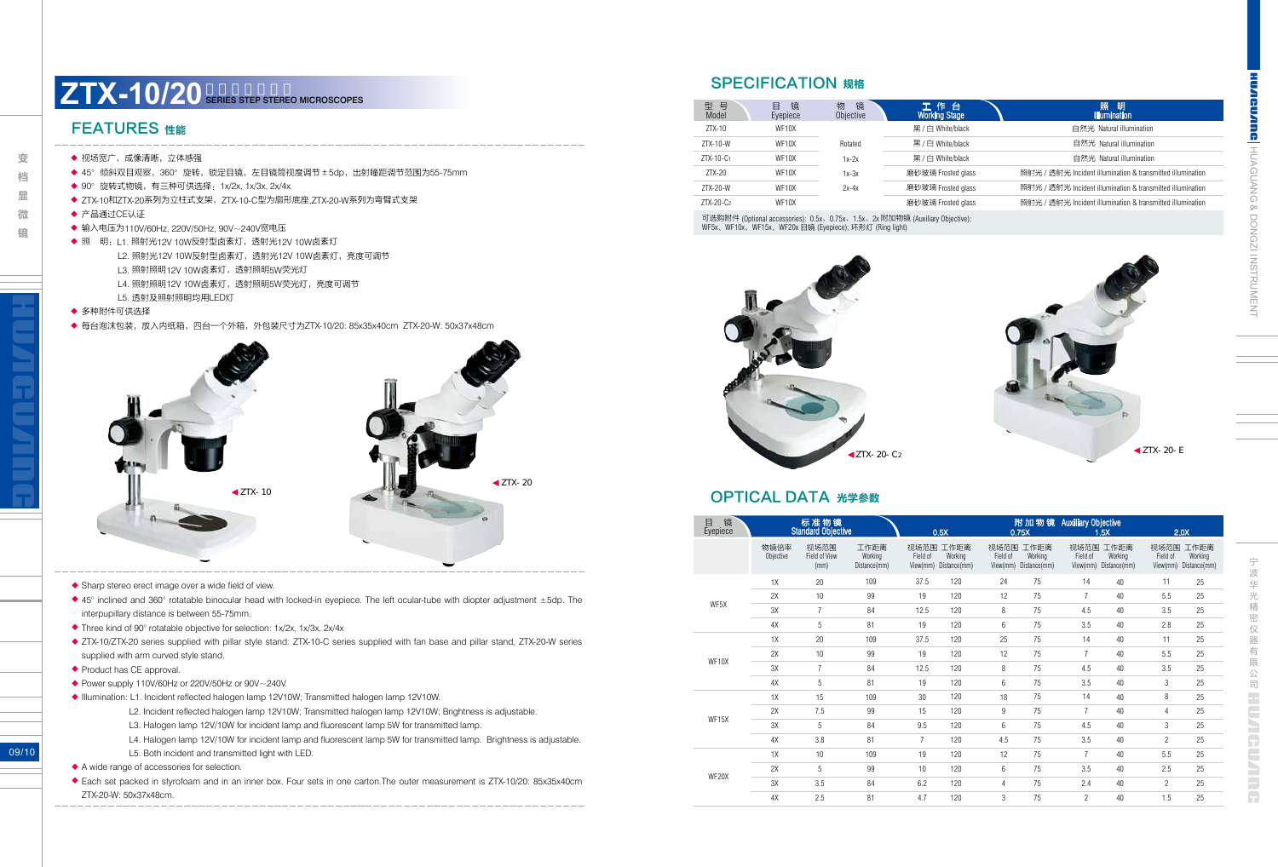& DONGZI INSTRUMENT

UNING HUAGUANG

09/10

- 输入电压为110V/60Hz, 220V/50Hz, 90V~240V宽电压 ◆
- ◆ 照 明:L1. 照射光12V 10W反射型卤素灯,透射光12V 10W卤素灯
	- L2. 照射光12V 10W反射型卤素灯,透射光12V 10W卤素灯,亮度可调节
	- L3. 照射照明12V 10W卤素灯,透射照明5W荧光灯
	- L4. 照射照明12V 10W卤素灯,透射照明5W荧光灯,亮度可调节
	- L5. 透射及照射照明均用LED灯
- ◆ 多种附件可供选择
- ◆ 每台泡沫包装,放入内纸箱,四台一个外箱,外包装尺寸为ZTX-10/20: 85x35x40cm ZTX-20-W: 50x37x48cm

- ◆ Power supply 110V/60Hz or 220V/50Hz or 90V~240V.
- ◆ Illumination: L1. Incident reflected halogen lamp 12V10W; Transmitted halogen lamp 12V10W.
	- L2. Incident reflected halogen lamp 12V10W; Transmitted halogen lamp 12V10W; Brightness is adjustable.
	- L3. Halogen lamp 12V/10W for incident lamp and fluorescent lamp 5W for transmitted lamp.
	- L4. Halogen lamp 12V/10W for incident lamp and fluorescent lamp 5W for transmitted lamp. Brightness is adjustable.
	- L5. Both incident and transmitted light with LED.
- ◆ A wide range of accessories for selection.
- ◆ Each set packed in styrofoam and in an inner box. Four sets in one carton.The outer measurement is ZTX-10/20: 85x35x40cm ZTX-20-W: 50x37x48cm.

#### FEATURES 性能

- ◆ 视场宽广,成像清晰,立体感强
- ◆ 45°倾斜双目观察,360°旋转,锁定目镜,左目镜筒视度调节±5dp,出射瞳距调节范围为55-75mm
- ◆ 90°旋转式物镜,有三种可供选择:1x/2x, 1x/3x, 2x/4x
- ◆ ZTX-10和ZTX-20系列为立柱式支架,ZTX-10-C型为扇形底座,ZTX-20-W系列为弯臂式支架
- ◆ 产品通过CE认证

**Second Control** 

微 镜

变 档 显



- ◆ Sharp stereo erect image over a wide field of view.
- ◆ 45° inclined and 360° rotatable binocular head with locked-in eyepiece. The left ocular-tube with diopter adjustment ±5dp. The interpupillary distance is between 55-75mm.
- ◆ Three kind of 90° rotatable objective for selection: 1x/2x, 1x/3x, 2x/4x
- ◆ ZTX-10/ZTX-20 series supplied with pillar style stand: ZTX-10-C series supplied with fan base and pillar stand, ZTX-20-W series supplied with arm curved style stand.
- ◆ Product has CE approval.

| 型 号<br>Model          | 镜<br>目<br>Eyepiece | 镜<br>物<br>Objective | 工作台<br><b>Working Stage</b>                                                 | 照<br>明<br><b>Illumination</b>                              |
|-----------------------|--------------------|---------------------|-----------------------------------------------------------------------------|------------------------------------------------------------|
| $ZTX-10$              | WF10X              |                     | 黑/白 White/black                                                             | 自然光 Natural illumination                                   |
| $ZTX-10-W$            | WF10X              | Rotated             | 黑 / 白 White/black                                                           | 自然光 Natural illumination                                   |
| ZTX-10-C <sub>1</sub> | WF10X              | $1x-2x$             | 黑/白 White/black                                                             | 自然光 Natural illumination                                   |
| $ZTX-20$              | WF10X              | $1x-3x$             | 磨砂玻璃 Frosted glass                                                          | 照射光 / 透射光 Incident illumination & transmitted illumination |
| $ZTX-20-W$            | WF10X              | $2x-4x$             | 磨砂玻璃 Frosted glass                                                          | 照射光 / 透射光 Incident illumination & transmitted illumination |
| $ZTX-20-C2$           | WF10X              |                     | 磨砂玻璃 Frosted glass                                                          | 照射光 / 透射光 Incident illumination & transmitted illumination |
|                       |                    |                     | 可选购附性 (Ontional accessories): 0.5v 0.75v 1.5v 2v附加物锫 (Auviliany Objective): |                                                            |

# **ZTX-10/20** SERIES STEP STEREO MICROSCOPES

#### SPECIFICATION 规格

可选购附件 (Optional accessories): 0.5x、0.75x、1.5x、2x 附加物镜 (Auxiliary Objective); WF5x、WF10x、WF15x、WF20x 目镜 (Eyepiece); 环形灯 (Ring light)





#### OPTICAL DATA 光学参数

| 镜<br>目<br>Eyepiece |                   | 标准物镜<br><b>Standard Objective</b>    |                                 |                              | 0.5X                            | 0.75X            |                                          | 附加物镜 Auxiliary Objective | 1.5X                                     |                              | 2.0X                            |
|--------------------|-------------------|--------------------------------------|---------------------------------|------------------------------|---------------------------------|------------------|------------------------------------------|--------------------------|------------------------------------------|------------------------------|---------------------------------|
|                    | 物镜倍率<br>Objective | 视场范围<br><b>Field of View</b><br>(mm) | 工作距离<br>Working<br>Distance(mm) | 视场范围<br>Field of<br>View(mm) | 工作距离<br>Working<br>Distance(mm) | 视场范围<br>Field of | 工作距离<br>Working<br>View(mm) Distance(mm) | 视场范围<br>Field of         | 工作距离<br>Working<br>View(mm) Distance(mm) | 视场范围<br>Field of<br>View(mm) | 工作距离<br>Working<br>Distance(mm) |
|                    | 1X                | 20                                   | 109                             | 37.5                         | 120                             | 24               | 75                                       | 14                       | 40                                       | 11                           | 25                              |
|                    | 2X                | 10                                   | 99                              | 19                           | 120                             | 12               | 75                                       | $\overline{7}$           | 40                                       | 5.5                          | 25                              |
| WF5X               | 3X                | $\overline{7}$                       | 84                              | 12.5                         | 120                             | 8                | 75                                       | 4.5                      | 40                                       | 3.5                          | 25                              |
|                    | 4X                | 5                                    | 81                              | 19                           | 120                             | 6                | 75                                       | 3.5                      | 40                                       | 2.8                          | 25                              |
|                    | 1X                | 20                                   | 109                             | 37.5                         | 120                             | 25               | 75                                       | 14                       | 40                                       | 11                           | 25                              |
|                    | 2X                | 10                                   | 99                              | 19                           | 120                             | 12               | 75                                       | $\overline{7}$           | 40                                       | 5.5                          | 25                              |
| WF10X              | 3X                | $\overline{7}$                       | 84                              | 12.5                         | 120                             | 8                | 75                                       | 4.5                      | 40                                       | 3.5                          | 25                              |
|                    | 4X                | 5                                    | 81                              | 19                           | 120                             | 6                | 75                                       | 3.5                      | 40                                       | 3                            | 25                              |
|                    | 1X                | 15                                   | 109                             | 30                           | 120                             | 18               | 75                                       | 14                       | 40                                       | 8                            | 25                              |
|                    | 2X                | 7.5                                  | 99                              | 15                           | 120                             | 9                | 75                                       | $\overline{7}$           | 40                                       | 4                            | 25                              |
| WF15X              | 3X                | 5                                    | 84                              | 9.5                          | 120                             | 6                | 75                                       | 4.5                      | 40                                       | 3                            | 25                              |
|                    | 4X                | 3.8                                  | 81                              | $\overline{7}$               | 120                             | 4.5              | 75                                       | 3.5                      | 40                                       | $\overline{c}$               | 25                              |
|                    | 1X                | 10                                   | 109                             | 19                           | 120                             | 12               | 75                                       | $\overline{7}$           | 40                                       | 5.5                          | 25                              |
|                    | 2X                | 5                                    | 99                              | 10                           | 120                             | 6                | 75                                       | 3.5                      | 40                                       | 2.5                          | 25                              |
| WF20X              | 3X                | 3.5                                  | 84                              | 6.2                          | 120                             | 4                | 75                                       | 2.4                      | 40                                       | $\overline{c}$               | 25                              |
|                    | 4X                | 2.5                                  | 81                              | 4.7                          | 120                             | 3                | 75                                       | $\overline{c}$           | 40                                       | 1.5                          | 25                              |

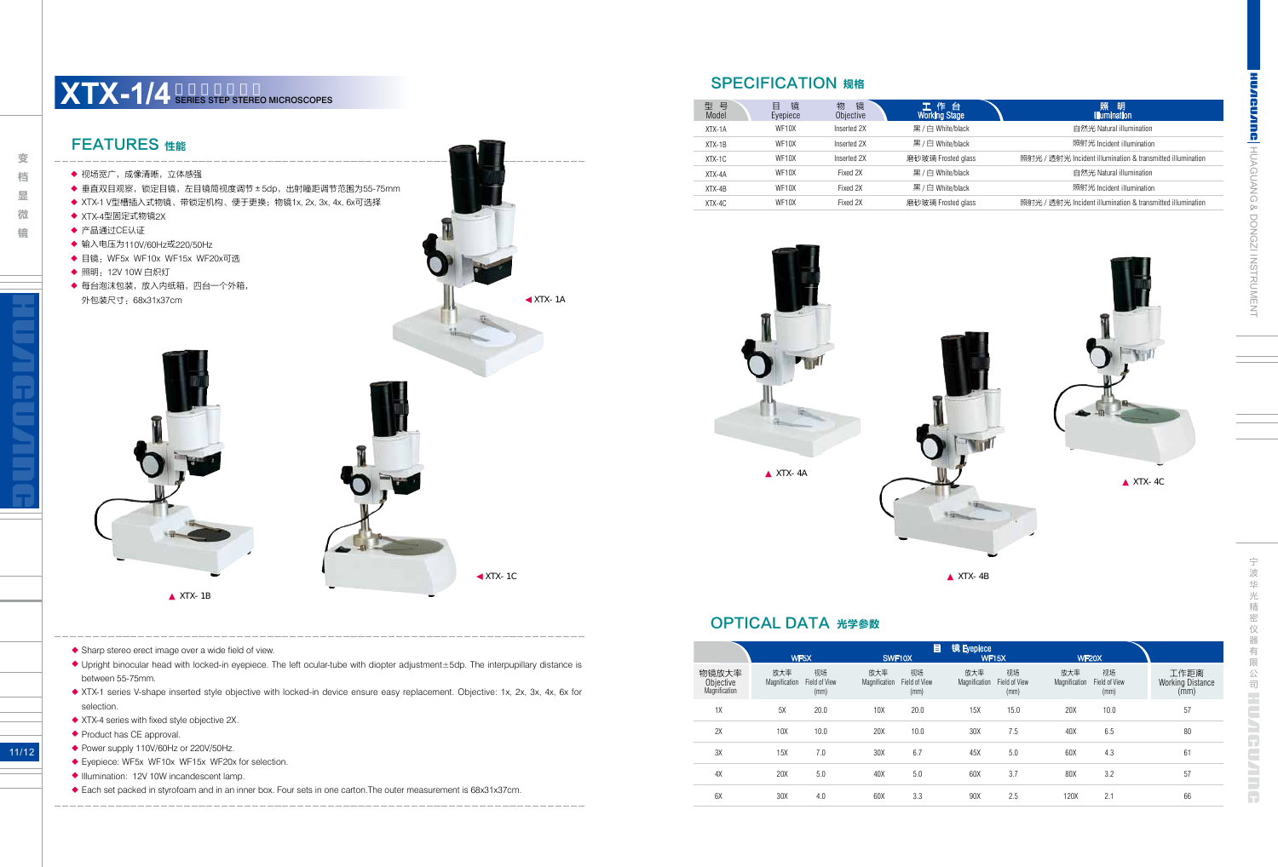11/12

- ◆ Power supply 110V/60Hz or 220V/50Hz.
- ◆ Eyepiece: WF5x WF10x WF15x WF20x for selection.
- ◆ Illumination: 12V 10W incandescent lamp.
- ◆ Each set packed in styrofoam and in an inner box. Four sets in one carton. The outer measurement is 68x31x37cm.



◆ Sharp stereo erect image over a wide field of view.

- ◆ Upright binocular head with locked-in eyepiece. The left ocular-tube with diopter adjustment±5dp. The interpupillary distance is between 55-75mm.
- ◆ XTX-1 series V-shape inserted style objective with locked-in device ensure easy replacement. Objective: 1x, 2x, 3x, 4x, 6x for selection.
- ◆ XTX-4 series with fixed style objective 2X.
- ◆ Product has CE approval.

| 号<br>型<br>Model | 镜<br>▤<br>Eyepiece | 镜<br>物<br>Objective | 工作台<br><b>Working Stage</b> | 照<br>明<br><b>Illumination</b>                              |
|-----------------|--------------------|---------------------|-----------------------------|------------------------------------------------------------|
| XTX-1A          | WF10X              | Inserted 2X         | 黑/白 White/black             | 自然光 Natural illumination                                   |
| $XTX-1B$        | WF <sub>10</sub> X | Inserted 2X         | 黑 / 白 White/black           | 照射光 Incident illumination                                  |
| $XTX-1C$        | WF10X              | Inserted 2X         | 磨砂玻璃 Frosted glass          | 照射光 / 透射光 Incident illumination & transmitted illumination |
| $XTX-4A$        | WF <sub>10</sub> X | Fixed 2X            | 黑/白 White/black             | 自然光 Natural illumination                                   |
| $XTX-4B$        | WF <sub>10</sub> X | Fixed 2X            | 黑/白 White/black             | 照射光 Incident illumination                                  |
| $XTX-4C$        | WF <sub>10</sub> X | Fixed 2X            | 磨砂玻璃 Frosted glass          | 照射光 / 透射光 Incident illumination & transmitted illumination |

# **XTX-1/4** SERIES STEP STEREO MICROSCOPES

#### SPECIFICATION 规格



XTX-4B

XTX-4C

#### OPTICAL DATA 光学参数

|                                     |                      | WF5X                        | SWF10X               | 目                           | 镜 Eyepiece           | <b>WF15X</b>                | <b>WF20X</b>         |                             |                                         |
|-------------------------------------|----------------------|-----------------------------|----------------------|-----------------------------|----------------------|-----------------------------|----------------------|-----------------------------|-----------------------------------------|
| 物镜放大率<br>Objective<br>Magnification | 放大率<br>Magnification | 视场<br>Field of View<br>(mm) | 放大率<br>Magnification | 视场<br>Field of View<br>(mm) | 放大率<br>Magnification | 视场<br>Field of View<br>(mm) | 放大率<br>Magnification | 视场<br>Field of View<br>(mm) | 工作距离<br><b>Working Distance</b><br>(mm) |
| 1X                                  | 5X                   | 20.0                        | 10X                  | 20.0                        | 15X                  | 15.0                        | 20X                  | 10.0                        | 57                                      |
| 2X                                  | 10X                  | 10.0                        | 20X                  | 10.0                        | 30X                  | 7.5                         | 40X                  | 6.5                         | 80                                      |
| 3X                                  | 15X                  | 7.0                         | 30X                  | 6.7                         | 45X                  | 5.0                         | 60X                  | 4.3                         | 61                                      |
| 4X                                  | 20X                  | 5.0                         | 40X                  | 5.0                         | 60X                  | 3.7                         | 80X                  | 3.2                         | 57                                      |
| 6X                                  | 30X                  | 4.0                         | 60X                  | 3.3                         | 90X                  | 2.5                         | 120X                 | 2.1                         | 66                                      |

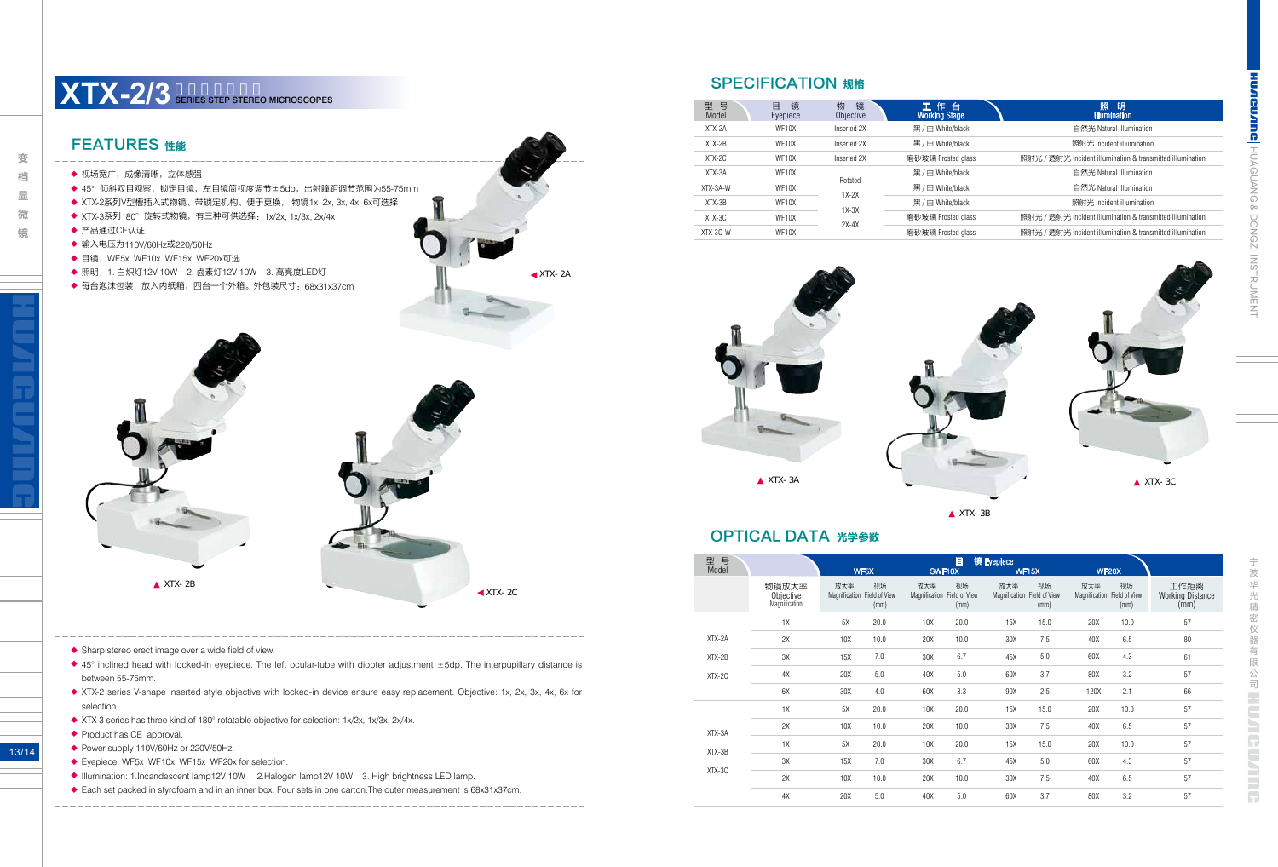DONGZI INSTRUMENT

 $\infty$ 

<u>a</u>

HUAGUANG

宁 器

13/14

| 型 묵<br>Model | 镜<br>目<br>Evepiece | 镜<br>物<br>Objective | 工作台<br><b>Working Stage</b> | 照<br>明<br><b>Illumination</b>                              |
|--------------|--------------------|---------------------|-----------------------------|------------------------------------------------------------|
| $XTX-2A$     | WF <sub>10</sub> X | Inserted 2X         | 黑/白 White/black             | 自然光 Natural illumination                                   |
| $XTX-2B$     | WF <sub>10</sub> X | Inserted 2X         | 黑 / 白 White/black           | 照射光 Incident illumination                                  |
| $XTX-2C$     | WF10X              | Inserted 2X         | 磨砂玻璃 Frosted glass          | 照射光 / 透射光 Incident illumination & transmitted illumination |
| XTX-3A       | WF <sub>10</sub> X | Rotated             | 黑/白 White/black             | 自然光 Natural illumination                                   |
| XTX-3A-W     | WF10X              | $1X-2X$             | 黑/白 White/black             | 自然光 Natural illumination                                   |
| $XTX-3B$     | WF <sub>10</sub> X | $1X-3X$             | 黑/白 White/black             | 照射光 Incident illumination                                  |
| $XTX-3C$     | WF10X              | $2X-4X$             | 磨砂玻璃 Frosted glass          | 照射光 / 透射光 Incident illumination & transmitted illumination |
| XTX-3C-W     | WF <sub>10</sub> X |                     | 磨砂玻璃 Frosted glass          | 照射光 / 透射光 Incident illumination & transmitted illumination |

# FEATURES 性能 ◆ 视场宽广,成像清晰,立体感强 ◆ 45°倾斜双目观察,锁定目镜,左目镜筒视度调节±5dp,出射瞳距调节范围为55-75mm ◆ XTX-2系列V型槽插入式物镜、带锁定机构、便于更换, 物镜1x, 2x, 3x, 4x, 6x可选择 ◆ XTX-3系列180°旋转式物镜,有三种可供选择:1x/2x, 1x/3x, 2x/4x ◆ 产品通过CE认证 ◆ 输入电压为110V/60Hz或220/50Hz ◆ 目镜:WF5x WF10x WF15x WF20x可选 ◆ 照明:1. 白炽灯12V 10W 2. 卤素灯12V 10W 3. 高亮度LED灯 ◆ 每台泡沫包装,放入内纸箱,四台一个外箱。外包装尺寸:68x31x37cm XTX-2B XTX-2C XTX-2A

- ◆ Sharp stereo erect image over a wide field of view. ◆ 45° inclined head with locked-in eyepiece. The left ocular-tube with diopter adjustment ±5dp. The interpupillary distance is between 55-75mm. ◆ XTX-2 series V-shape inserted style objective with locked-in device ensure easy replacement. Objective: 1x, 2x, 3x, 4x, 6x for selection. ◆ XTX-3 series has three kind of 180° rotatable objective for selection: 1x/2x, 1x/3x, 2x/4x.
- ◆ Product has CE approval.
- ◆ Power supply 110V/60Hz or 220V/50Hz.
- ◆ Eyepiece: WF5x WF10x WF15x WF20x for selection.
- ◆ Illumination: 1.Incandescent lamp12V 10W 2.Halogen lamp12V 10W 3. High brightness LED lamp.
- ◆ Each set packed in styrofoam and in an inner box. Four sets in one carton. The outer measurement is 68x31x37cm.

## **XTX-2/3** SERIES STEP STEREO MICROSCOPES

#### SPECIFICATION 规格



XTX-3B



### OPTICAL DATA 光学参数

| 号<br>型<br>Model |                                     | WF5X                               |            | SWF10X                             | 目          | 镜 Eyepiece | WF <sub>15</sub> X                        | WF20X                              |            |                                                      |
|-----------------|-------------------------------------|------------------------------------|------------|------------------------------------|------------|------------|-------------------------------------------|------------------------------------|------------|------------------------------------------------------|
|                 | 物镜放大率<br>Objective<br>Magnification | 放大率<br>Magnification Field of View | 视场<br>(mm) | 放大率<br>Magnification Field of View | 视场<br>(mm) | 放大率        | 视场<br>Magnification Field of View<br>(mm) | 放大率<br>Magnification Field of View | 视场<br>(mm) | 工作距离<br><b>Working Distance</b><br>$(\overline{mm})$ |
|                 | 1X                                  | 5X                                 | 20.0       | 10X                                | 20.0       | 15X        | 15.0                                      | 20X                                | 10.0       | 57                                                   |
| XTX-2A          | 2X                                  | 10X                                | 10.0       | 20X                                | 10.0       | 30X        | 7.5                                       | 40X                                | 6.5        | 80                                                   |
| $XTX-2B$        | 3X                                  | 15X                                | 7.0        | 30X                                | 6.7        | 45X        | 5.0                                       | 60X                                | 4.3        | 61                                                   |
| XTX-2C          | 4X                                  | 20X                                | 5.0        | 40X                                | 5.0        | 60X        | 3.7                                       | 80X                                | 3.2        | 57                                                   |
|                 | 6X                                  | 30X                                | 4.0        | 60X                                | 3.3        | 90X        | 2.5                                       | 120X                               | 2.1        | 66                                                   |
|                 | 1X                                  | 5X                                 | 20.0       | 10X                                | 20.0       | 15X        | 15.0                                      | 20X                                | 10.0       | 57                                                   |
| XTX-3A          | 2X                                  | 10X                                | 10.0       | 20X                                | 10.0       | 30X        | 7.5                                       | 40X                                | 6.5        | 57                                                   |
| XTX-3B          | 1X                                  | 5X                                 | 20.0       | 10X                                | 20.0       | 15X        | 15.0                                      | 20X                                | 10.0       | 57                                                   |
|                 | 3X                                  | 15X                                | 7.0        | 30X                                | 6.7        | 45X        | 5.0                                       | 60X                                | 4.3        | 57                                                   |
| XTX-3C          | 2X                                  | 10X                                | 10.0       | 20X                                | 10.0       | 30X        | 7.5                                       | 40X                                | 6.5        | 57                                                   |
|                 | 4X                                  | 20X                                | 5.0        | 40X                                | 5.0        | 60X        | 3.7                                       | 80X                                | 3.2        | 57                                                   |

变 **Second Contracts Contracts Contracts Contracts Contracts Contracts Contracts Contracts Contracts Contracts Contracts Contracts Contracts Contracts Contracts Contracts Contracts Contracts Contracts Contracts Contracts Con** 档 显 微 镜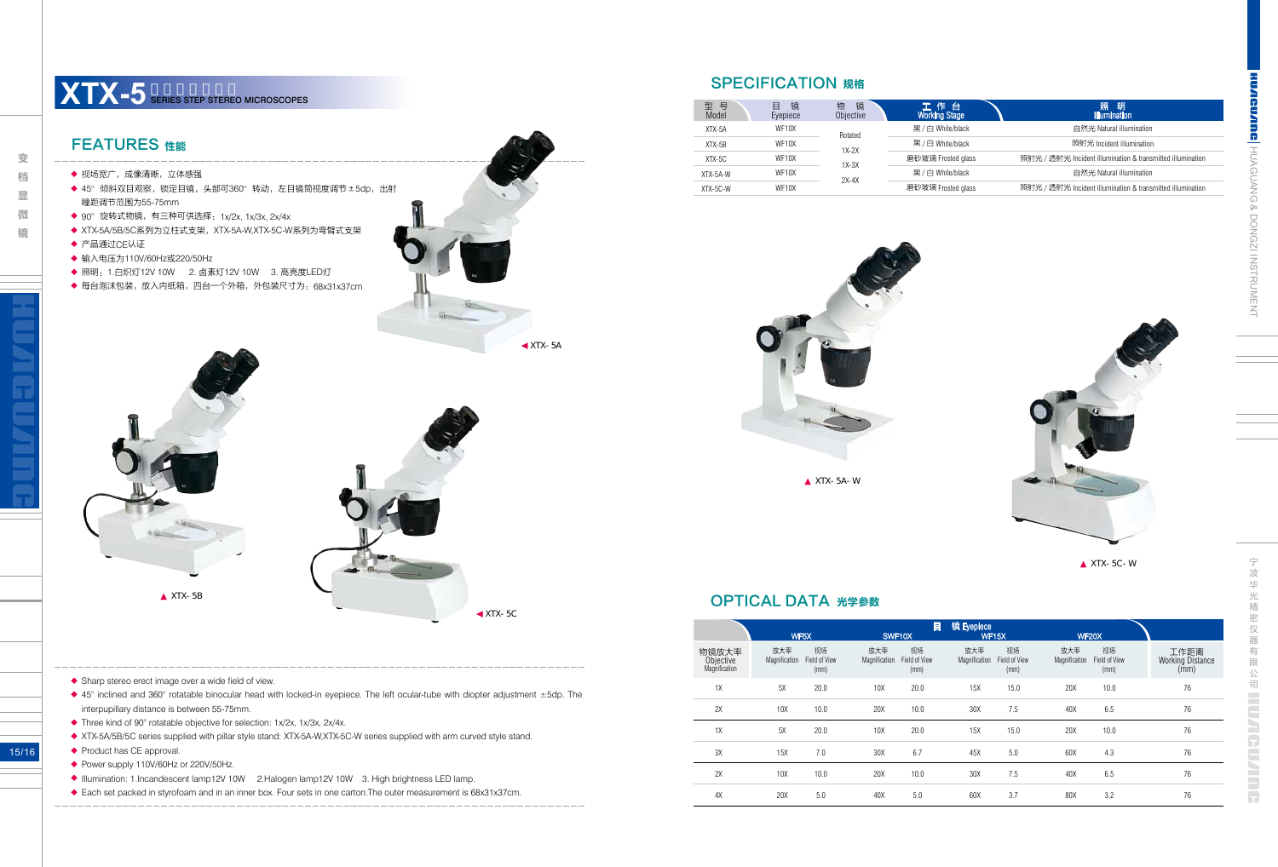| l<br>l                                               |
|------------------------------------------------------|
|                                                      |
|                                                      |
|                                                      |
| $\overline{\phantom{a}}$<br>$\overline{\phantom{a}}$ |
| )<br>ļ                                               |
| $\overline{\phantom{a}}$<br>$\frac{1}{2}$<br>u       |
| I                                                    |
| ı<br>ł                                               |



宁

15/16

#### FEATURES 性能

- ◆ 视场宽广,成像清晰,立体感强
- ◆ 45°倾斜双目观察,锁定目镜,头部可360°转动,左目镜筒视度调节±5dp,出射 瞳距调节范围为55-75mm
- ◆ 90°旋转式物镜,有三种可供选择:1x/2x, 1x/3x, 2x/4x
- ◆ XTX-5A/5B/5C系列为立柱式支架,XTX-5A-W,XTX-5C-W系列为弯臂式支架
- ◆ 产品通过CE认证
- ◆ 输入电压为110V/60Hz或220/50Hz
- ◆ 照明:1.白炽灯12V 10W ~2. 卤素灯12V 10W ~3. 高亮度LED灯
- ◆ 每台泡沫包装,放入内纸箱,四台一个外箱,外包装尺寸为:68x31x37cm

| 型号<br>Model | 镜<br>目<br>Eyepiece | 镜<br>物<br>Objective | 工作台<br><b>Working Stage</b> | 照<br>明<br><b>Illumination</b>                              |
|-------------|--------------------|---------------------|-----------------------------|------------------------------------------------------------|
| $XTX-5A$    | WF <sub>10</sub> X | Rotated             | 黑/白 White/black             | 自然光 Natural illumination                                   |
| $XTX-5B$    | WF10X              | $1X-2X$             | 黑/白 White/black             | 照射光 Incident illumination                                  |
| $XTX-5C$    | WF <sub>10</sub> X | $1X-3X$             | 磨砂玻璃 Frosted glass          | 照射光 / 透射光 Incident illumination & transmitted illumination |
| XTX-5A-W    | WF <sub>10</sub> X | $2X-4X$             | 黑/白 White/black             | 自然光 Natural illumination                                   |
| XTX-5C-W    | WF <sub>10</sub> X |                     | 磨砂玻璃 Frosted glass          | 照射光 / 透射光 Incident illumination & transmitted illumination |



# **XTX-5** SERIES STEP STEREO MICROSCOPES

#### SPECIFICATION 规格

XTX-5A-W

XTX-5C-W

#### OPTICAL DATA 光学参数

|                                     |                      | WF5X                        | SWF10X               | 目                           | 镜 Eyepiece           | <b>WF15X</b>                |                      | <b>WF20X</b>                |                                         |
|-------------------------------------|----------------------|-----------------------------|----------------------|-----------------------------|----------------------|-----------------------------|----------------------|-----------------------------|-----------------------------------------|
| 物镜放大率<br>Objective<br>Magnification | 放大率<br>Magnification | 视场<br>Field of View<br>(mm) | 放大率<br>Magnification | 视场<br>Field of View<br>(mm) | 放大率<br>Magnification | 视场<br>Field of View<br>(mm) | 放大率<br>Magnification | 视场<br>Field of View<br>(mm) | 工作距离<br><b>Working Distance</b><br>(mm) |
| 1X                                  | 5X                   | 20.0                        | 10X                  | 20.0                        | 15X                  | 15.0                        | 20X                  | 10.0                        | 76                                      |
| 2X                                  | 10X                  | 10.0                        | 20X                  | 10.0                        | 30X                  | 7.5                         | 40X                  | 6.5                         | 76                                      |
| 1X                                  | 5X                   | 20.0                        | 10X                  | 20.0                        | 15X                  | 15.0                        | 20X                  | 10.0                        | 76                                      |
| 3X                                  | 15X                  | 7.0                         | 30X                  | 6.7                         | 45X                  | 5.0                         | 60X                  | 4.3                         | 76                                      |
| 2X                                  | 10X                  | 10.0                        | 20X                  | 10.0                        | 30X                  | 7.5                         | 40X                  | 6.5                         | 76                                      |
| 4X                                  | 20X                  | 5.0                         | 40X                  | 5.0                         | 60X                  | 3.7                         | 80X                  | 3.2                         | 76                                      |

**Second Contracts Contracts Contracts Contracts Contracts Contracts Contracts Contracts Contracts Contracts Contracts Contracts Contracts Contracts Contracts Contracts Contracts Contracts Contracts Contracts Contracts Con** 档 显 微 镜

变

XTX-5C

◆ Sharp stereo erect image over a wide field of view.

- ◆ 45° inclined and 360° rotatable binocular head with locked-in eyepiece. The left ocular-tube with diopter adjustment ±5dp. The interpupillary distance is between 55-75mm.
- ◆ Three kind of 90° rotatable objective for selection: 1x/2x, 1x/3x, 2x/4x.
- ◆ XTX-5A/5B/5C series supplied with pillar style stand: XTX-5A-W,XTX-5C-W series supplied with arm curved style stand.
- ◆ Product has CE approval.
- ◆ Power supply 110V/60Hz or 220V/50Hz.
- ◆ Illumination: 1.Incandescent lamp12V 10W 2.Halogen lamp12V 10W 3. High brightness LED lamp.
- ◆ Each set packed in styrofoam and in an inner box. Four sets in one carton. The outer measurement is 68x31x37cm.





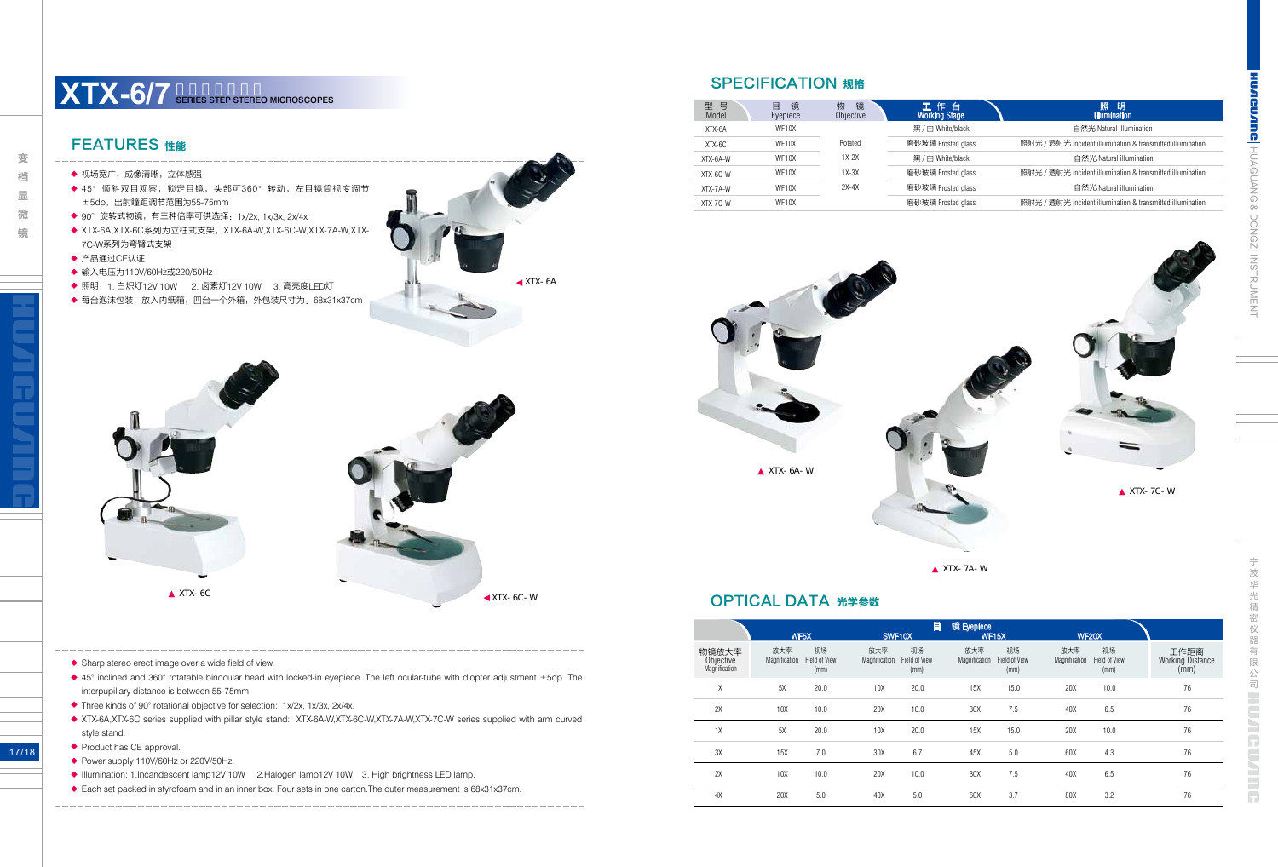| Į<br>ŀ                        |
|-------------------------------|
|                               |
|                               |
|                               |
| ı                             |
|                               |
|                               |
|                               |
|                               |
|                               |
|                               |
|                               |
| )                             |
| ļ<br>5                        |
| j                             |
| $\overline{\phantom{a}}$<br>ı |
|                               |
| I                             |
|                               |
|                               |
|                               |
|                               |
|                               |
|                               |
|                               |
|                               |
| d<br>I                        |
|                               |



宁 波 华 仪 器

17/18

- ◆ Power supply 110V/60Hz or 220V/50Hz.
- ◆ Illumination: 1.Incandescent lamp12V 10W 2.Halogen lamp12V 10W 3. High brightness LED lamp.
- ◆ Each set packed in styrofoam and in an inner box. Four sets in one carton.The outer measurement is 68x31x37cm.

变

## FEATURES 性能

- ◆ 视场宽广,成像清晰,立体感强
- ◆ 45°倾斜双目观察,锁定目镜,头部可360°转动,左目镜筒视度调节 ±5dp,出射瞳距调节范围为55-75mm
- ◆ 90°旋转式物镜,有三种倍率可供选择:1x/2x, 1x/3x, 2x/4x
- ◆ XTX-6A,XTX-6C系列为立柱式支架,XTX-6A-W,XTX-6C-W,XTX-7A-W,XTX-7C-W系列为弯臂式支架
- ◆ 产品通过CE认证
- ◆ 输入电压为110V/60Hz或220/50Hz
- ◆ 照明:1. 白炽灯12V 10W ~ 2. 卤素灯12V 10W ~ 3. 高亮度LED灯
- ◆ 每台泡沫包装,放入内纸箱,四台一个外箱,外包装尺寸为:68x31x37cm

| 型 号<br>Model | 镜<br>Eyepiece | 镜<br>物<br>Objective | 工作台<br><b>Working Stage</b> |
|--------------|---------------|---------------------|-----------------------------|
| XTX-6A       | WF10X         |                     | 黑/白 White/black             |
| $XTX-6C$     | WF10X         | Rotated             | 磨砂玻璃 Frosted glass          |
| XTX-6A-W     | WF10X         | $1X-2X$             | 黑/白 White/black             |
| XTX-6C-W     | WF10X         | $1X-3X$             | 磨砂玻璃 Frosted glass          |
| XTX-7A-W     | WF10X         | $2X-4X$             | 磨砂玻璃 Frosted glass          |
| XTX-7C-W     | WF10X         |                     | 磨砂玻璃 Frosted glass          |

自然光 Natural illumination 照射光 / 透射光 Incident illumination & transmitted illumination 自然光 Natural illumination 照射光 / 透射光 Incident illumination & transmitted illumination 自然光 Natural illumination 照射光 / 透射光 Incident illumination & transmitted illumination

## SPECIFICATION 规格

| Φ              |  |
|----------------|--|
|                |  |
|                |  |
|                |  |
|                |  |
|                |  |
| $XTX - 6A - W$ |  |
|                |  |
|                |  |

XTX-7A-W

XTX-7C-W

照 明<br>Illumination

#### OPTICAL DATA 光学参数

|                                     | WF <sub>5</sub> X    |                             |                      | 目<br>SWF10X                 |                      | 镜 Eyepiece<br><b>WF15X</b>  |                      | <b>WF20X</b>                |                                         |
|-------------------------------------|----------------------|-----------------------------|----------------------|-----------------------------|----------------------|-----------------------------|----------------------|-----------------------------|-----------------------------------------|
| 物镜放大率<br>Objective<br>Magnification | 放大率<br>Magnification | 视场<br>Field of View<br>(mm) | 放大率<br>Magnification | 视场<br>Field of View<br>(mm) | 放大率<br>Magnification | 视场<br>Field of View<br>(mm) | 放大率<br>Magnification | 视场<br>Field of View<br>(mm) | 工作距离<br><b>Working Distance</b><br>(mm) |
| 1X                                  | 5X                   | 20.0                        | 10X                  | 20.0                        | 15X                  | 15.0                        | 20X                  | 10.0                        | 76                                      |
| 2X                                  | 10X                  | 10.0                        | 20X                  | 10.0                        | 30X                  | 7.5                         | 40X                  | 6.5                         | 76                                      |
| 1X                                  | 5X                   | 20.0                        | 10X                  | 20.0                        | 15X                  | 15.0                        | 20X                  | 10.0                        | 76                                      |
| 3X                                  | 15X                  | 7.0                         | 30X                  | 6.7                         | 45X                  | 5.0                         | 60X                  | 4.3                         | 76                                      |
| 2X                                  | 10X                  | 10.0                        | 20X                  | 10.0                        | 30X                  | 7.5                         | 40X                  | 6.5                         | 76                                      |
| 4X                                  | 20X                  | 5.0                         | 40X                  | 5.0                         | 60X                  | 3.7                         | 80X                  | 3.2                         | 76                                      |

- ◆ Sharp stereo erect image over a wide field of view.
- ◆ 45° inclined and 360° rotatable binocular head with locked-in eyepiece. The left ocular-tube with diopter adjustment ±5dp. The interpupillary distance is between 55-75mm.
- ◆ Three kinds of 90° rotational objective for selection: 1x/2x, 1x/3x, 2x/4x.
- ◆ XTX-6A,XTX-6C series supplied with pillar style stand: XTX-6A-W,XTX-6C-W,XTX-7A-W,XTX-7C-W series supplied with arm curved style stand.
- ◆ Product has CE approval.





# **XTX-6/7** SERIES STEP STEREO MICROSCOPES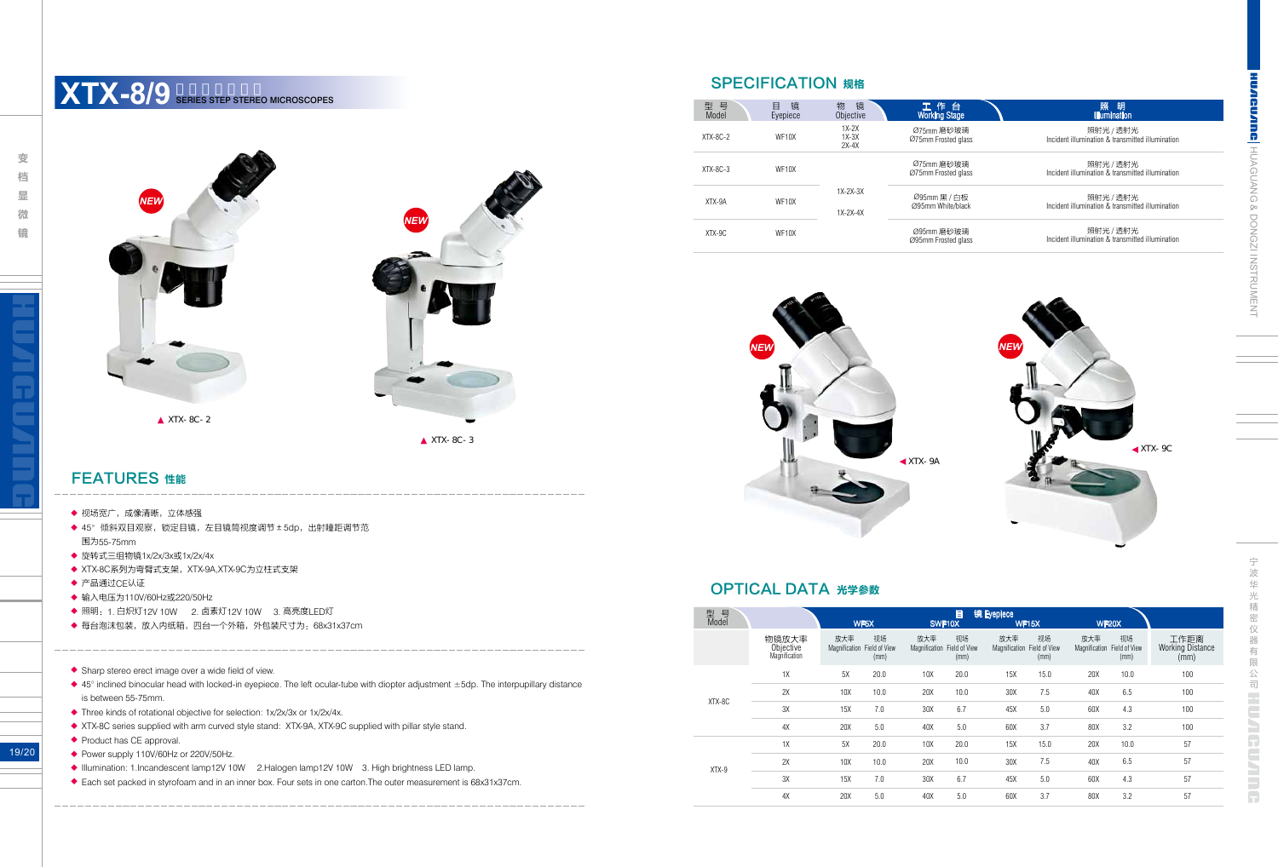**CUARDE HUAGUANG & DONGZI INSTRUMENT** 

19/20

- ◆ Power supply 110V/60Hz or 220V/50Hz.
- ◆ Illumination: 1.Incandescent lamp12V 10W 2.Halogen lamp12V 10W 3. High brightness LED lamp.
- ◆ Each set packed in styrofoam and in an inner box. Four sets in one carton. The outer measurement is 68x31x37cm.

#### FEATURES 性能

- ◆ 视场宽广,成像清晰,立体感强
- ◆ 45°倾斜双目观察,锁定目镜,左目镜筒视度调节±5dp,出射瞳距调节范 围为55-75mm
- ◆ 旋转式三组物镜1x/2x/3x或1x/2x/4x
- ◆ XTX-8C系列为弯臂式支架,XTX-9A,XTX-9C为立柱式支架
- ◆ 产品通过CE认证
- ◆ 输入电压为110V/60Hz或220/50Hz
- ◆ 照明:1. 白炽灯12V 10W ~ 2. 卤素灯12V 10W ~ 3. 高亮度LED灯
- ◆ 每台泡沫包装,放入内纸箱,四台一个外箱,外包装尺寸为:68x31x37cm
- ◆ Sharp stereo erect image over a wide field of view.
- ◆ 45° inclined binocular head with locked-in eyepiece. The left ocular-tube with diopter adjustment ±5dp. The interpupillary distance is between 55-75mm.
- ◆ Three kinds of rotational objective for selection: 1x/2x/3x or 1x/2x/4x.
- ◆ XTX-8C series supplied with arm curved style stand: XTX-9A, XTX-9C supplied with pillar style stand.
- ◆ Product has CE approval.

**SPECIFICATION 规格** 

| 型 号<br>Model | 镜<br>目<br>Eyepiece | 物<br>镜<br>Objective           | 工作台<br>Working Stage              | 照<br>明<br><b>Illumination</b>                                 |
|--------------|--------------------|-------------------------------|-----------------------------------|---------------------------------------------------------------|
| $XTX-8C-2$   | WF <sub>10</sub> X | $1X-2X$<br>$1X-3X$<br>$2X-4X$ | Ø75mm 磨砂玻璃<br>Ø75mm Frosted glass | 照射光 / 透射光<br>Incident illumination & transmitted illumination |
| $XTX-8C-3$   | WF10X              |                               | Ø75mm 磨砂玻璃<br>Ø75mm Frosted glass | 照射光 / 透射光<br>Incident illumination & transmitted illumination |
| XTX-9A       | WF <sub>10</sub> X | $1X-2X-3X$<br>$1X-2X-4X$      | Ø95mm 黑 / 白板<br>Ø95mm White/black | 照射光 / 透射光<br>Incident illumination & transmitted illumination |
| XTX-9C       | WF <sub>10</sub> X |                               | Ø95mm 磨砂玻璃<br>Ø95mm Frosted glass | 照射光 / 透射光<br>Incident illumination & transmitted illumination |

#### XTX-8C-2

#### OPTICAL DATA 光学参数

| 型号<br>Model |                                     | 目<br>WF5X<br>SWF10X  |                             |                      |                             | 镜 Eyepiece<br><b>WF15X</b>         |            | <b>WF20X</b>         |                             |                                         |
|-------------|-------------------------------------|----------------------|-----------------------------|----------------------|-----------------------------|------------------------------------|------------|----------------------|-----------------------------|-----------------------------------------|
|             | 物镜放大率<br>Objective<br>Magnification | 放大率<br>Magnification | 视场<br>Field of View<br>(mm) | 放大率<br>Magnification | 视场<br>Field of View<br>(mm) | 放大率<br>Magnification Field of View | 视场<br>(mm) | 放大率<br>Magnification | 视场<br>Field of View<br>(mm) | 工作距离<br><b>Working Distance</b><br>(mm) |
|             | 1X                                  | 5X                   | 20.0                        | 10X                  | 20.0                        | 15X                                | 15.0       | 20X                  | 10.0                        | 100                                     |
|             | 2X                                  | 10 <sub>X</sub>      | 10.0                        | 20X                  | 10.0                        | 30X                                | 7.5        | 40X                  | 6.5                         | 100                                     |
| XTX-8C      | 3X                                  | 15X                  | 7.0                         | 30X                  | 6.7                         | 45X                                | 5.0        | 60X                  | 4.3                         | 100                                     |
|             | 4X                                  | 20X                  | 5.0                         | 40X                  | 5.0                         | 60X                                | 3.7        | 80X                  | 3.2                         | 100                                     |
|             | 1X                                  | 5X                   | 20.0                        | 10X                  | 20.0                        | 15X                                | 15.0       | 20X                  | 10.0                        | 57                                      |
| $XTX-9$     | 2X                                  | 10X                  | 10.0                        | 20X                  | 10.0                        | 30X                                | 7.5        | 40X                  | 6.5                         | 57                                      |
|             | 3X                                  | 15X                  | 7.0                         | 30X                  | 6.7                         | 45X                                | 5.0        | 60X                  | 4.3                         | 57                                      |
|             | 4X                                  | 20X                  | 5.0                         | 40X                  | 5.0                         | 60X                                | 3.7        | 80X                  | 3.2                         | 57                                      |

## **XTX-8/9** SERIES STEP STEREO MICROSCOPES